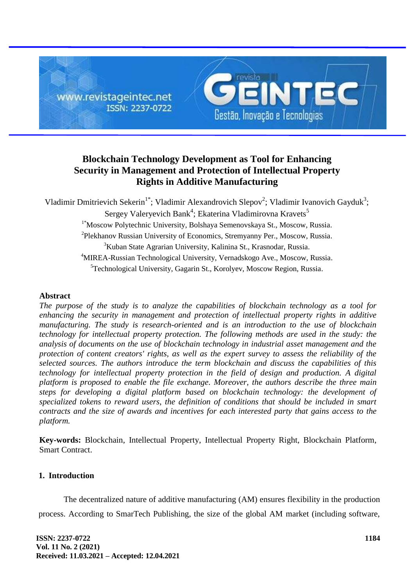

# **Blockchain Technology Development as Tool for Enhancing Security in Management and Protection of Intellectual Property Rights in Additive Manufacturing**

Vladimir Dmitrievich Sekerin<sup>1\*</sup>; Vladimir Alexandrovich Slepov<sup>2</sup>; Vladimir Ivanovich Gayduk<sup>3</sup>; Sergey Valeryevich Bank<sup>4</sup>; Ekaterina Vladimirovna Kravets<sup>5</sup> 1\*Moscow Polytechnic University, Bolshaya Semenovskaya St., Moscow, Russia. <sup>2</sup>Plekhanov Russian University of Economics, Stremyanny Per., Moscow, Russia. <sup>3</sup>Kuban State Agrarian University, Kalinina St., Krasnodar, Russia. <sup>4</sup>MIREA-Russian Technological University, Vernadskogo Ave., Moscow, Russia. <sup>5</sup>Technological University, Gagarin St., Korolyev, Moscow Region, Russia.

# **Abstract**

*The purpose of the study is to analyze the capabilities of blockchain technology as a tool for enhancing the security in management and protection of intellectual property rights in additive manufacturing. The study is research-oriented and is an introduction to the use of blockchain technology for intellectual property protection. The following methods are used in the study: the analysis of documents on the use of blockchain technology in industrial asset management and the protection of content creators' rights, as well as the expert survey to assess the reliability of the selected sources. The authors introduce the term blockchain and discuss the capabilities of this technology for intellectual property protection in the field of design and production. A digital platform is proposed to enable the file exchange. Moreover, the authors describe the three main steps for developing a digital platform based on blockchain technology: the development of specialized tokens to reward users, the definition of conditions that should be included in smart contracts and the size of awards and incentives for each interested party that gains access to the platform.*

**Key-words:** Blockchain, Intellectual Property, Intellectual Property Right, Blockchain Platform, Smart Contract.

# **1. Introduction**

The decentralized nature of additive manufacturing (AM) ensures flexibility in the production process. According to SmarTech Publishing, the size of the global AM market (including software,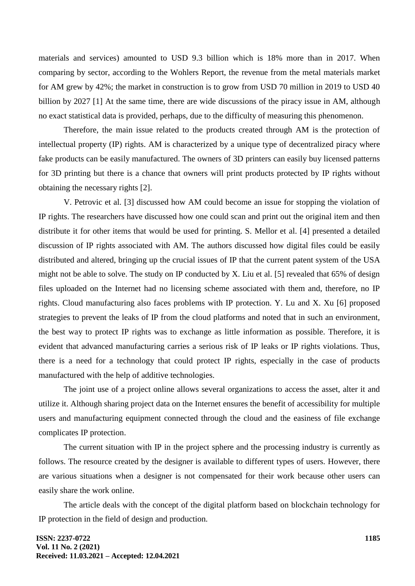materials and services) amounted to USD 9.3 billion which is 18% more than in 2017. When comparing by sector, according to the Wohlers Report, the revenue from the metal materials market for AM grew by 42%; the market in construction is to grow from USD 70 million in 2019 to USD 40 billion by 2027 [1] At the same time, there are wide discussions of the piracy issue in AM, although no exact statistical data is provided, perhaps, due to the difficulty of measuring this phenomenon.

Therefore, the main issue related to the products created through AM is the protection of intellectual property (IP) rights. AM is characterized by a unique type of decentralized piracy where fake products can be easily manufactured. The owners of 3D printers can easily buy licensed patterns for 3D printing but there is a chance that owners will print products protected by IP rights without obtaining the necessary rights [2].

V. Petrovic et al. [3] discussed how AM could become an issue for stopping the violation of IP rights. The researchers have discussed how one could scan and print out the original item and then distribute it for other items that would be used for printing. S. Mellor et al. [4] presented a detailed discussion of IP rights associated with AM. The authors discussed how digital files could be easily distributed and altered, bringing up the crucial issues of IP that the current patent system of the USA might not be able to solve. The study on IP conducted by X. Liu et al. [5] revealed that 65% of design files uploaded on the Internet had no licensing scheme associated with them and, therefore, no IP rights. Cloud manufacturing also faces problems with IP protection. Y. Lu and X. Xu [6] proposed strategies to prevent the leaks of IP from the cloud platforms and noted that in such an environment, the best way to protect IP rights was to exchange as little information as possible. Therefore, it is evident that advanced manufacturing carries a serious risk of IP leaks or IP rights violations. Thus, there is a need for a technology that could protect IP rights, especially in the case of products manufactured with the help of additive technologies.

The joint use of a project online allows several organizations to access the asset, alter it and utilize it. Although sharing project data on the Internet ensures the benefit of accessibility for multiple users and manufacturing equipment connected through the cloud and the easiness of file exchange complicates IP protection.

The current situation with IP in the project sphere and the processing industry is currently as follows. The resource created by the designer is available to different types of users. However, there are various situations when a designer is not compensated for their work because other users can easily share the work online.

The article deals with the concept of the digital platform based on blockchain technology for IP protection in the field of design and production.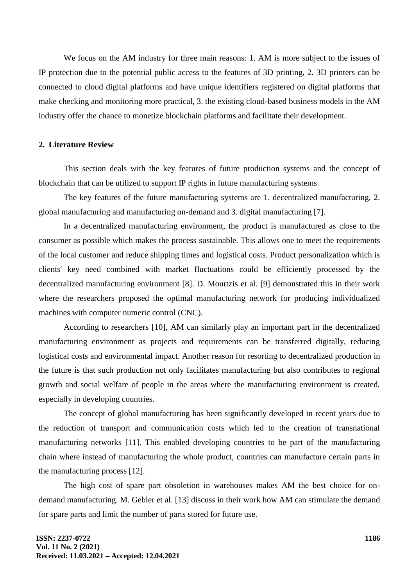We focus on the AM industry for three main reasons: 1. AM is more subject to the issues of IP protection due to the potential public access to the features of 3D printing, 2. 3D printers can be connected to cloud digital platforms and have unique identifiers registered on digital platforms that make checking and monitoring more practical, 3. the existing cloud-based business models in the AM industry offer the chance to monetize blockchain platforms and facilitate their development.

## **2. Literature Review**

This section deals with the key features of future production systems and the concept of blockchain that can be utilized to support IP rights in future manufacturing systems.

The key features of the future manufacturing systems are 1. decentralized manufacturing, 2. global manufacturing and manufacturing on-demand and 3. digital manufacturing [7].

In a decentralized manufacturing environment, the product is manufactured as close to the consumer as possible which makes the process sustainable. This allows one to meet the requirements of the local customer and reduce shipping times and logistical costs. Product personalization which is clients' key need combined with market fluctuations could be efficiently processed by the decentralized manufacturing environment [8]. D. Mourtzis et al. [9] demonstrated this in their work where the researchers proposed the optimal manufacturing network for producing individualized machines with computer numeric control (CNC).

According to researchers [10], AM can similarly play an important part in the decentralized manufacturing environment as projects and requirements can be transferred digitally, reducing logistical costs and environmental impact. Another reason for resorting to decentralized production in the future is that such production not only facilitates manufacturing but also contributes to regional growth and social welfare of people in the areas where the manufacturing environment is created, especially in developing countries.

The concept of global manufacturing has been significantly developed in recent years due to the reduction of transport and communication costs which led to the creation of transnational manufacturing networks [11]. This enabled developing countries to be part of the manufacturing chain where instead of manufacturing the whole product, countries can manufacture certain parts in the manufacturing process [12].

The high cost of spare part obsoletion in warehouses makes AM the best choice for ondemand manufacturing. M. Gebler et al. [13] discuss in their work how AM can stimulate the demand for spare parts and limit the number of parts stored for future use.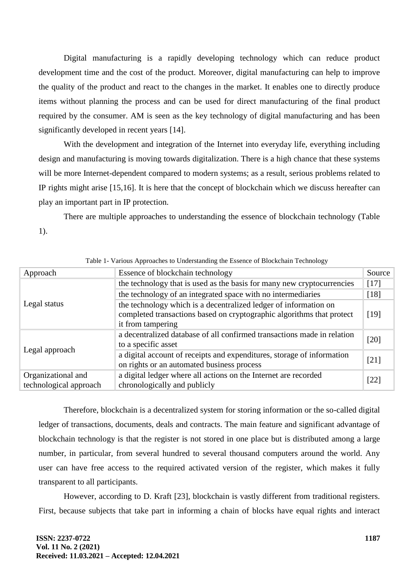Digital manufacturing is a rapidly developing technology which can reduce product development time and the cost of the product. Moreover, digital manufacturing can help to improve the quality of the product and react to the changes in the market. It enables one to directly produce items without planning the process and can be used for direct manufacturing of the final product required by the consumer. AM is seen as the key technology of digital manufacturing and has been significantly developed in recent years [14].

With the development and integration of the Internet into everyday life, everything including design and manufacturing is moving towards digitalization. There is a high chance that these systems will be more Internet-dependent compared to modern systems; as a result, serious problems related to IP rights might arise [15,16]. It is here that the concept of blockchain which we discuss hereafter can play an important part in IP protection.

There are multiple approaches to understanding the essence of blockchain technology (Table 1).

| Approach               | Essence of blockchain technology                                        | Source |
|------------------------|-------------------------------------------------------------------------|--------|
| Legal status           | the technology that is used as the basis for many new cryptocurrencies  | $[17]$ |
|                        | the technology of an integrated space with no intermediaries            | $[18]$ |
|                        | the technology which is a decentralized ledger of information on        |        |
|                        | completed transactions based on cryptographic algorithms that protect   | [19]   |
|                        | it from tampering                                                       |        |
|                        | a decentralized database of all confirmed transactions made in relation | $[20]$ |
| Legal approach         | to a specific asset                                                     |        |
|                        | a digital account of receipts and expenditures, storage of information  | $[21]$ |
|                        | on rights or an automated business process                              |        |
| Organizational and     | a digital ledger where all actions on the Internet are recorded         |        |
| technological approach | chronologically and publicly                                            | $[22]$ |

Table 1- Various Approaches to Understanding the Essence of Blockchain Technology

Therefore, blockchain is a decentralized system for storing information or the so-called digital ledger of transactions, documents, deals and contracts. The main feature and significant advantage of blockchain technology is that the register is not stored in one place but is distributed among a large number, in particular, from several hundred to several thousand computers around the world. Any user can have free access to the required activated version of the register, which makes it fully transparent to all participants.

However, according to D. Kraft [23], blockchain is vastly different from traditional registers. First, because subjects that take part in informing a chain of blocks have equal rights and interact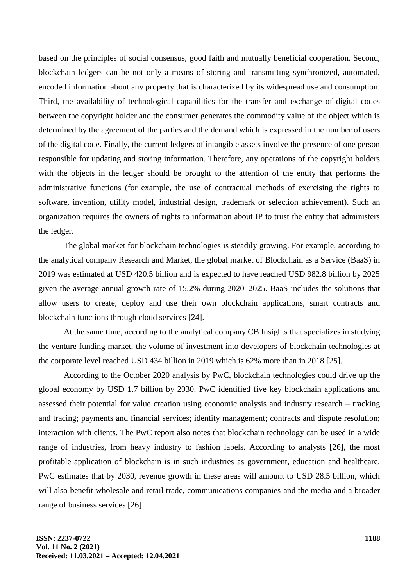based on the principles of social consensus, good faith and mutually beneficial cooperation. Second, blockchain ledgers can be not only a means of storing and transmitting synchronized, automated, encoded information about any property that is characterized by its widespread use and consumption. Third, the availability of technological capabilities for the transfer and exchange of digital codes between the copyright holder and the consumer generates the commodity value of the object which is determined by the agreement of the parties and the demand which is expressed in the number of users of the digital code. Finally, the current ledgers of intangible assets involve the presence of one person responsible for updating and storing information. Therefore, any operations of the copyright holders with the objects in the ledger should be brought to the attention of the entity that performs the administrative functions (for example, the use of contractual methods of exercising the rights to software, invention, utility model, industrial design, trademark or selection achievement). Such an organization requires the owners of rights to information about IP to trust the entity that administers the ledger.

The global market for blockchain technologies is steadily growing. For example, according to the analytical company Research and Market, the global market of Blockchain as a Service (BaaS) in 2019 was estimated at USD 420.5 billion and is expected to have reached USD 982.8 billion by 2025 given the average annual growth rate of 15.2% during 2020–2025. BaaS includes the solutions that allow users to create, deploy and use their own blockchain applications, smart contracts and blockchain functions through cloud services [24].

At the same time, according to the analytical company CB Insights that specializes in studying the venture funding market, the volume of investment into developers of blockchain technologies at the corporate level reached USD 434 billion in 2019 which is 62% more than in 2018 [25].

According to the October 2020 analysis by PwC, blockchain technologies could drive up the global economy by USD 1.7 billion by 2030. PwC identified five key blockchain applications and assessed their potential for value creation using economic analysis and industry research – tracking and tracing; payments and financial services; identity management; contracts and dispute resolution; interaction with clients. The PwC report also notes that blockchain technology can be used in a wide range of industries, from heavy industry to fashion labels. According to analysts [26], the most profitable application of blockchain is in such industries as government, education and healthcare. PwC estimates that by 2030, revenue growth in these areas will amount to USD 28.5 billion, which will also benefit wholesale and retail trade, communications companies and the media and a broader range of business services [26].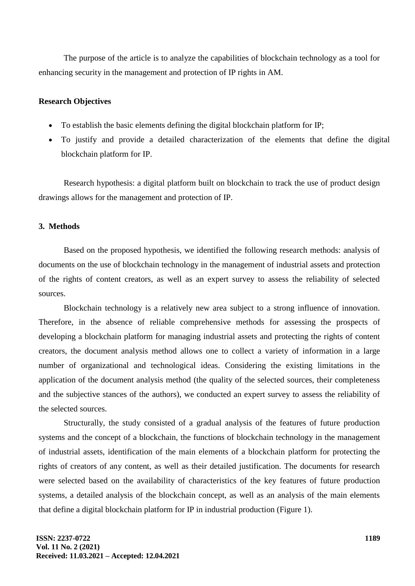The purpose of the article is to analyze the capabilities of blockchain technology as a tool for enhancing security in the management and protection of IP rights in AM.

# **Research Objectives**

- To establish the basic elements defining the digital blockchain platform for IP;
- To justify and provide a detailed characterization of the elements that define the digital blockchain platform for IP.

Research hypothesis: a digital platform built on blockchain to track the use of product design drawings allows for the management and protection of IP.

# **3. Methods**

Based on the proposed hypothesis, we identified the following research methods: analysis of documents on the use of blockchain technology in the management of industrial assets and protection of the rights of content creators, as well as an expert survey to assess the reliability of selected sources.

Blockchain technology is a relatively new area subject to a strong influence of innovation. Therefore, in the absence of reliable comprehensive methods for assessing the prospects of developing a blockchain platform for managing industrial assets and protecting the rights of content creators, the document analysis method allows one to collect a variety of information in a large number of organizational and technological ideas. Considering the existing limitations in the application of the document analysis method (the quality of the selected sources, their completeness and the subjective stances of the authors), we conducted an expert survey to assess the reliability of the selected sources.

Structurally, the study consisted of a gradual analysis of the features of future production systems and the concept of a blockchain, the functions of blockchain technology in the management of industrial assets, identification of the main elements of a blockchain platform for protecting the rights of creators of any content, as well as their detailed justification. The documents for research were selected based on the availability of characteristics of the key features of future production systems, a detailed analysis of the blockchain concept, as well as an analysis of the main elements that define a digital blockchain platform for IP in industrial production (Figure 1).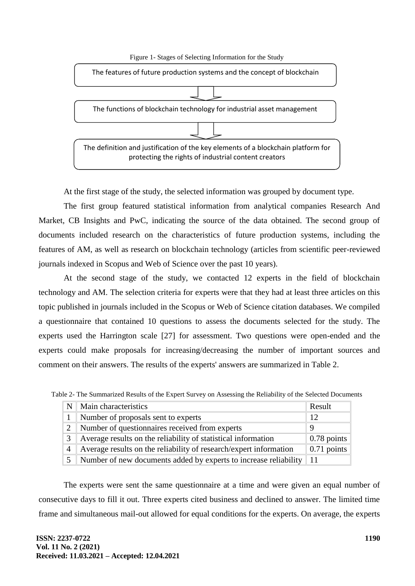

At the first stage of the study, the selected information was grouped by document type.

The first group featured statistical information from analytical companies Research And Market, CB Insights and PwC, indicating the source of the data obtained. The second group of documents included research on the characteristics of future production systems, including the features of AM, as well as research on blockchain technology (articles from scientific peer-reviewed journals indexed in Scopus and Web of Science over the past 10 years).

At the second stage of the study, we contacted 12 experts in the field of blockchain technology and AM. The selection criteria for experts were that they had at least three articles on this topic published in journals included in the Scopus or Web of Science citation databases. We compiled a questionnaire that contained 10 questions to assess the documents selected for the study. The experts used the Harrington scale [27] for assessment. Two questions were open-ended and the experts could make proposals for increasing/decreasing the number of important sources and comment on their answers. The results of the experts' answers are summarized in Table 2.

| N | Main characteristics                                              |                     |
|---|-------------------------------------------------------------------|---------------------|
|   | Number of proposals sent to experts                               |                     |
|   | Number of questionnaires received from experts                    |                     |
|   | Average results on the reliability of statistical information     | $\vert$ 0.78 points |
| 4 | Average results on the reliability of research/expert information | $0.71$ points       |
|   | Number of new documents added by experts to increase reliability  | 11                  |

Table 2- The Summarized Results of the Expert Survey on Assessing the Reliability of the Selected Documents

The experts were sent the same questionnaire at a time and were given an equal number of consecutive days to fill it out. Three experts cited business and declined to answer. The limited time frame and simultaneous mail-out allowed for equal conditions for the experts. On average, the experts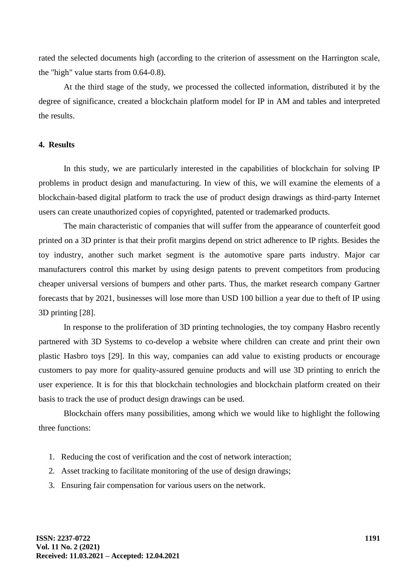rated the selected documents high (according to the criterion of assessment on the Harrington scale, the "high" value starts from 0.64-0.8).

At the third stage of the study, we processed the collected information, distributed it by the degree of significance, created a blockchain platform model for IP in AM and tables and interpreted the results.

# **4. Results**

In this study, we are particularly interested in the capabilities of blockchain for solving IP problems in product design and manufacturing. In view of this, we will examine the elements of a blockchain-based digital platform to track the use of product design drawings as third-party Internet users can create unauthorized copies of copyrighted, patented or trademarked products.

The main characteristic of companies that will suffer from the appearance of counterfeit good printed on a 3D printer is that their profit margins depend on strict adherence to IP rights. Besides the toy industry, another such market segment is the automotive spare parts industry. Major car manufacturers control this market by using design patents to prevent competitors from producing cheaper universal versions of bumpers and other parts. Thus, the market research company Gartner forecasts that by 2021, businesses will lose more than USD 100 billion a year due to theft of IP using 3D printing [28].

In response to the proliferation of 3D printing technologies, the toy company Hasbro recently partnered with 3D Systems to co-develop a website where children can create and print their own plastic Hasbro toys [29]. In this way, companies can add value to existing products or encourage customers to pay more for quality-assured genuine products and will use 3D printing to enrich the user experience. It is for this that blockchain technologies and blockchain platform created on their basis to track the use of product design drawings can be used.

Blockchain offers many possibilities, among which we would like to highlight the following three functions:

- 1. Reducing the cost of verification and the cost of network interaction;
- 2. Asset tracking to facilitate monitoring of the use of design drawings;
- 3. Ensuring fair compensation for various users on the network.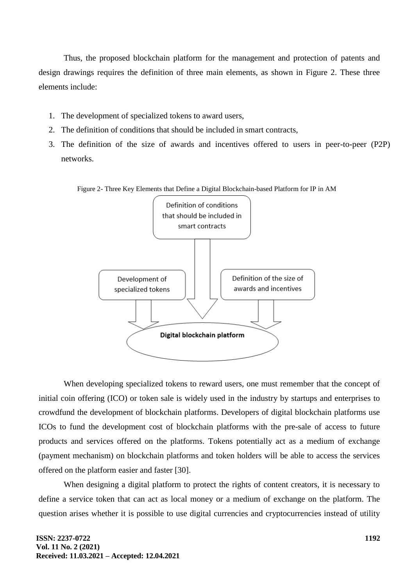Thus, the proposed blockchain platform for the management and protection of patents and design drawings requires the definition of three main elements, as shown in Figure 2. These three elements include:

- 1. The development of specialized tokens to award users,
- 2. The definition of conditions that should be included in smart contracts,
- 3. The definition of the size of awards and incentives offered to users in peer-to-peer (P2P) networks.





When developing specialized tokens to reward users, one must remember that the concept of initial coin offering (ICO) or token sale is widely used in the industry by startups and enterprises to crowdfund the development of blockchain platforms. Developers of digital blockchain platforms use ICOs to fund the development cost of blockchain platforms with the pre-sale of access to future products and services offered on the platforms. Tokens potentially act as a medium of exchange (payment mechanism) on blockchain platforms and token holders will be able to access the services offered on the platform easier and faster [30].

When designing a digital platform to protect the rights of content creators, it is necessary to define a service token that can act as local money or a medium of exchange on the platform. The question arises whether it is possible to use digital currencies and cryptocurrencies instead of utility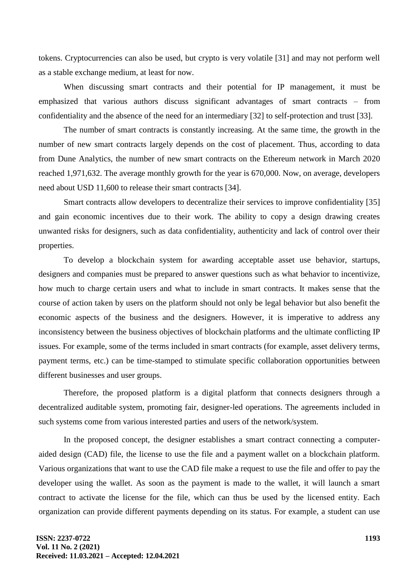tokens. Cryptocurrencies can also be used, but crypto is very volatile [31] and may not perform well as a stable exchange medium, at least for now.

When discussing smart contracts and their potential for IP management, it must be emphasized that various authors discuss significant advantages of smart contracts – from confidentiality and the absence of the need for an intermediary [32] to self-protection and trust [33].

The number of smart contracts is constantly increasing. At the same time, the growth in the number of new smart contracts largely depends on the cost of placement. Thus, according to data from Dune Analytics, the number of new smart contracts on the Ethereum network in March 2020 reached 1,971,632. The average monthly growth for the year is 670,000. Now, on average, developers need about USD 11,600 to release their smart contracts [34].

Smart contracts allow developers to decentralize their services to improve confidentiality [35] and gain economic incentives due to their work. The ability to copy a design drawing creates unwanted risks for designers, such as data confidentiality, authenticity and lack of control over their properties.

To develop a blockchain system for awarding acceptable asset use behavior, startups, designers and companies must be prepared to answer questions such as what behavior to incentivize, how much to charge certain users and what to include in smart contracts. It makes sense that the course of action taken by users on the platform should not only be legal behavior but also benefit the economic aspects of the business and the designers. However, it is imperative to address any inconsistency between the business objectives of blockchain platforms and the ultimate conflicting IP issues. For example, some of the terms included in smart contracts (for example, asset delivery terms, payment terms, etc.) can be time-stamped to stimulate specific collaboration opportunities between different businesses and user groups.

Therefore, the proposed platform is a digital platform that connects designers through a decentralized auditable system, promoting fair, designer-led operations. The agreements included in such systems come from various interested parties and users of the network/system.

In the proposed concept, the designer establishes a smart contract connecting a computeraided design (CAD) file, the license to use the file and a payment wallet on a blockchain platform. Various organizations that want to use the CAD file make a request to use the file and offer to pay the developer using the wallet. As soon as the payment is made to the wallet, it will launch a smart contract to activate the license for the file, which can thus be used by the licensed entity. Each organization can provide different payments depending on its status. For example, a student can use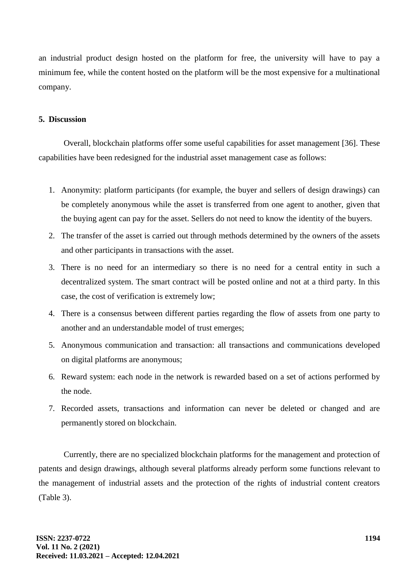an industrial product design hosted on the platform for free, the university will have to pay a minimum fee, while the content hosted on the platform will be the most expensive for a multinational company.

# **5. Discussion**

Overall, blockchain platforms offer some useful capabilities for asset management [36]. These capabilities have been redesigned for the industrial asset management case as follows:

- 1. Anonymity: platform participants (for example, the buyer and sellers of design drawings) can be completely anonymous while the asset is transferred from one agent to another, given that the buying agent can pay for the asset. Sellers do not need to know the identity of the buyers.
- 2. The transfer of the asset is carried out through methods determined by the owners of the assets and other participants in transactions with the asset.
- 3. There is no need for an intermediary so there is no need for a central entity in such a decentralized system. The smart contract will be posted online and not at a third party. In this case, the cost of verification is extremely low;
- 4. There is a consensus between different parties regarding the flow of assets from one party to another and an understandable model of trust emerges;
- 5. Anonymous communication and transaction: all transactions and communications developed on digital platforms are anonymous;
- 6. Reward system: each node in the network is rewarded based on a set of actions performed by the node.
- 7. Recorded assets, transactions and information can never be deleted or changed and are permanently stored on blockchain.

Currently, there are no specialized blockchain platforms for the management and protection of patents and design drawings, although several platforms already perform some functions relevant to the management of industrial assets and the protection of the rights of industrial content creators (Table 3).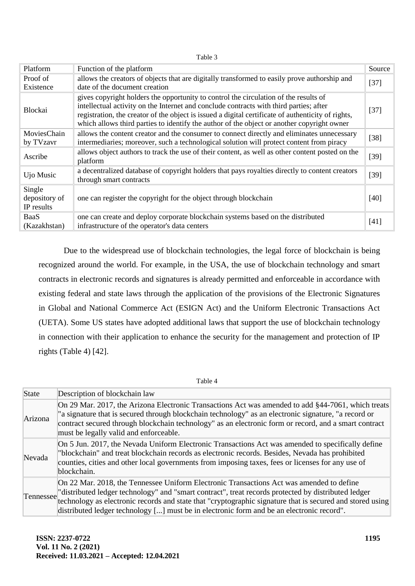| г |  |
|---|--|
|---|--|

| <b>Platform</b>                       | Function of the platform                                                                                                                                                                                                                                                                                                                                                           |        |
|---------------------------------------|------------------------------------------------------------------------------------------------------------------------------------------------------------------------------------------------------------------------------------------------------------------------------------------------------------------------------------------------------------------------------------|--------|
| Proof of<br>Existence                 | allows the creators of objects that are digitally transformed to easily prove authorship and<br>date of the document creation                                                                                                                                                                                                                                                      | $[37]$ |
| Blockai                               | gives copyright holders the opportunity to control the circulation of the results of<br>intellectual activity on the Internet and conclude contracts with third parties; after<br>registration, the creator of the object is issued a digital certificate of authenticity of rights,<br>which allows third parties to identify the author of the object or another copyright owner |        |
| MoviesChain<br>by TVzavr              | allows the content creator and the consumer to connect directly and eliminates unnecessary<br>intermediaries; moreover, such a technological solution will protect content from piracy                                                                                                                                                                                             | $[38]$ |
| Ascribe                               | allows object authors to track the use of their content, as well as other content posted on the<br>platform                                                                                                                                                                                                                                                                        | $[39]$ |
| Ujo Music                             | a decentralized database of copyright holders that pays royalties directly to content creators<br>through smart contracts                                                                                                                                                                                                                                                          | $[39]$ |
| Single<br>depository of<br>IP results | one can register the copyright for the object through blockchain                                                                                                                                                                                                                                                                                                                   | $[40]$ |
| BaaS<br>(Kazakhstan)                  | one can create and deploy corporate blockchain systems based on the distributed<br>infrastructure of the operator's data centers                                                                                                                                                                                                                                                   | $[41]$ |

Due to the widespread use of blockchain technologies, the legal force of blockchain is being recognized around the world. For example, in the USA, the use of blockchain technology and smart contracts in electronic records and signatures is already permitted and enforceable in accordance with existing federal and state laws through the application of the provisions of the Electronic Signatures in Global and National Commerce Act (ESIGN Act) and the Uniform Electronic Transactions Act (UETA). Some US states have adopted additional laws that support the use of blockchain technology in connection with their application to enhance the security for the management and protection of IP rights (Table 4) [42].

| Table 4   |                                                                                                                                                                                                                                                                                                                                                                                                           |  |
|-----------|-----------------------------------------------------------------------------------------------------------------------------------------------------------------------------------------------------------------------------------------------------------------------------------------------------------------------------------------------------------------------------------------------------------|--|
| State     | Description of blockchain law                                                                                                                                                                                                                                                                                                                                                                             |  |
| Arizona   | On 29 Mar. 2017, the Arizona Electronic Transactions Act was amended to add §44-7061, which treats<br>"a signature that is secured through blockchain technology" as an electronic signature, "a record or<br>contract secured through blockchain technology" as an electronic form or record, and a smart contract<br>must be legally valid and enforceable.                                             |  |
| Nevada    | On 5 Jun. 2017, the Nevada Uniform Electronic Transactions Act was amended to specifically define<br>"blockchain" and treat blockchain records as electronic records. Besides, Nevada has prohibited<br>counties, cities and other local governments from imposing taxes, fees or licenses for any use of<br>blockchain.                                                                                  |  |
| Tennessee | On 22 Mar. 2018, the Tennessee Uniform Electronic Transactions Act was amended to define<br>"distributed ledger technology" and "smart contract", treat records protected by distributed ledger<br>technology as electronic records and state that "cryptographic signature that is secured and stored using<br>distributed ledger technology [] must be in electronic form and be an electronic record". |  |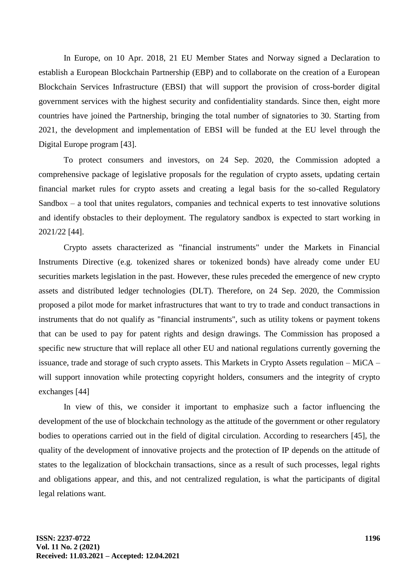In Europe, on 10 Apr. 2018, 21 EU Member States and Norway signed a Declaration to establish a European Blockchain Partnership (EBP) and to collaborate on the creation of a European Blockchain Services Infrastructure (EBSI) that will support the provision of cross-border digital government services with the highest security and confidentiality standards. Since then, eight more countries have joined the Partnership, bringing the total number of signatories to 30. Starting from 2021, the development and implementation of EBSI will be funded at the EU level through the Digital Europe program [43].

To protect consumers and investors, on 24 Sep. 2020, the Commission adopted a comprehensive package of legislative proposals for the regulation of crypto assets, updating certain financial market rules for crypto assets and creating a legal basis for the so-called Regulatory Sandbox – a tool that unites regulators, companies and technical experts to test innovative solutions and identify obstacles to their deployment. The regulatory sandbox is expected to start working in 2021/22 [44].

Crypto assets characterized as "financial instruments" under the Markets in Financial Instruments Directive (e.g. tokenized shares or tokenized bonds) have already come under EU securities markets legislation in the past. However, these rules preceded the emergence of new crypto assets and distributed ledger technologies (DLT). Therefore, on 24 Sep. 2020, the Commission proposed a pilot mode for market infrastructures that want to try to trade and conduct transactions in instruments that do not qualify as "financial instruments", such as utility tokens or payment tokens that can be used to pay for patent rights and design drawings. The Commission has proposed a specific new structure that will replace all other EU and national regulations currently governing the issuance, trade and storage of such crypto assets. This Markets in Crypto Assets regulation – MiCA – will support innovation while protecting copyright holders, consumers and the integrity of crypto exchanges [44]

In view of this, we consider it important to emphasize such a factor influencing the development of the use of blockchain technology as the attitude of the government or other regulatory bodies to operations carried out in the field of digital circulation. According to researchers [45], the quality of the development of innovative projects and the protection of IP depends on the attitude of states to the legalization of blockchain transactions, since as a result of such processes, legal rights and obligations appear, and this, and not centralized regulation, is what the participants of digital legal relations want.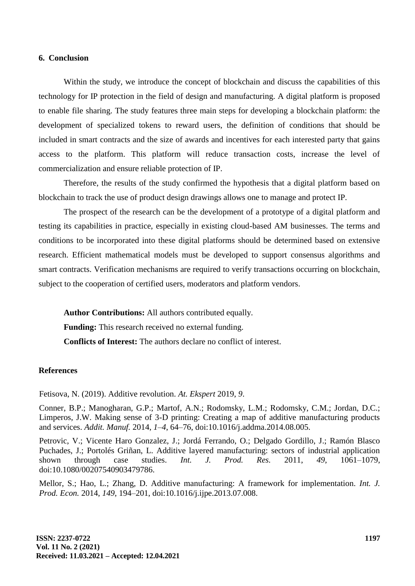## **6. Conclusion**

Within the study, we introduce the concept of blockchain and discuss the capabilities of this technology for IP protection in the field of design and manufacturing. A digital platform is proposed to enable file sharing. The study features three main steps for developing a blockchain platform: the development of specialized tokens to reward users, the definition of conditions that should be included in smart contracts and the size of awards and incentives for each interested party that gains access to the platform. This platform will reduce transaction costs, increase the level of commercialization and ensure reliable protection of IP.

Therefore, the results of the study confirmed the hypothesis that a digital platform based on blockchain to track the use of product design drawings allows one to manage and protect IP.

The prospect of the research can be the development of a prototype of a digital platform and testing its capabilities in practice, especially in existing cloud-based AM businesses. The terms and conditions to be incorporated into these digital platforms should be determined based on extensive research. Efficient mathematical models must be developed to support consensus algorithms and smart contracts. Verification mechanisms are required to verify transactions occurring on blockchain, subject to the cooperation of certified users, moderators and platform vendors.

**Author Contributions:** All authors contributed equally. **Funding:** This research received no external funding. **Conflicts of Interest:** The authors declare no conflict of interest.

## **References**

Fetisova, N. (2019). Additive revolution. *At. Ekspert* 2019, *9*.

Conner, B.P.; Manogharan, G.P.; Martof, A.N.; Rodomsky, L.M.; Rodomsky, C.M.; Jordan, D.C.; Limperos, J.W. Making sense of 3-D printing: Creating a map of additive manufacturing products and services. *Addit. Manuf.* 2014, *1*–*4*, 64–76, doi:10.1016/j.addma.2014.08.005.

Petrovic, V.; Vicente Haro Gonzalez, J.; Jordá Ferrando, O.; Delgado Gordillo, J.; Ramón Blasco Puchades, J.; Portolés Griñan, L. Additive layered manufacturing: sectors of industrial application shown through case studies. *Int. J. Prod. Res.* 2011, *49*, 1061–1079, doi:10.1080/00207540903479786.

Mellor, S.; Hao, L.; Zhang, D. Additive manufacturing: A framework for implementation. *Int. J. Prod. Econ.* 2014, *149*, 194–201, doi:10.1016/j.ijpe.2013.07.008.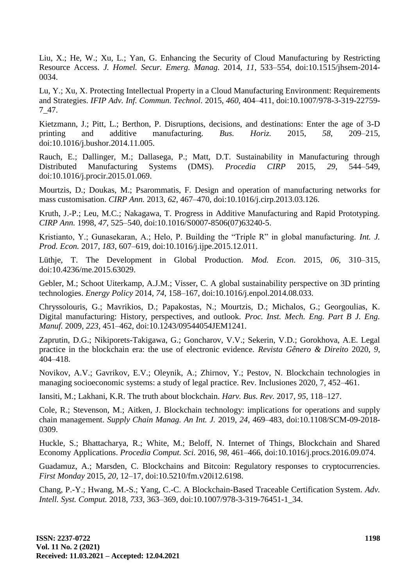Liu, X.; He, W.; Xu, L.; Yan, G. Enhancing the Security of Cloud Manufacturing by Restricting Resource Access. *J. Homel. Secur. Emerg. Manag.* 2014, *11*, 533–554, doi:10.1515/jhsem-2014- 0034.

Lu, Y.; Xu, X. Protecting Intellectual Property in a Cloud Manufacturing Environment: Requirements and Strategies. *IFIP Adv. Inf. Commun. Technol.* 2015, *460*, 404–411, doi:10.1007/978-3-319-22759- 7\_47.

Kietzmann, J.; Pitt, L.; Berthon, P. Disruptions, decisions, and destinations: Enter the age of 3-D printing and additive manufacturing. *Bus. Horiz.* 2015, *58*, 209–215, doi:10.1016/j.bushor.2014.11.005.

Rauch, E.; Dallinger, M.; Dallasega, P.; Matt, D.T. Sustainability in Manufacturing through Distributed Manufacturing Systems (DMS). *Procedia CIRP* 2015, *29*, 544–549, doi:10.1016/j.procir.2015.01.069.

Mourtzis, D.; Doukas, M.; Psarommatis, F. Design and operation of manufacturing networks for mass customisation. *CIRP Ann.* 2013, *62*, 467–470, doi:10.1016/j.cirp.2013.03.126.

Kruth, J.-P.; Leu, M.C.; Nakagawa, T. Progress in Additive Manufacturing and Rapid Prototyping. *CIRP Ann.* 1998, *47*, 525–540, doi:10.1016/S0007-8506(07)63240-5.

Kristianto, Y.; Gunasekaran, A.; Helo, P. Building the "Triple R" in global manufacturing. *Int. J. Prod. Econ.* 2017, *183*, 607–619, doi:10.1016/j.ijpe.2015.12.011.

Lüthje, T. The Development in Global Production. *Mod. Econ.* 2015, *06*, 310–315, doi:10.4236/me.2015.63029.

Gebler, M.; Schoot Uiterkamp, A.J.M.; Visser, C. A global sustainability perspective on 3D printing technologies. *Energy Policy* 2014, *74*, 158–167, doi:10.1016/j.enpol.2014.08.033.

Chryssolouris, G.; Mavrikios, D.; Papakostas, N.; Mourtzis, D.; Michalos, G.; Georgoulias, K. Digital manufacturing: History, perspectives, and outlook. *Proc. Inst. Mech. Eng. Part B J. Eng. Manuf.* 2009, *223*, 451–462, doi:10.1243/09544054JEM1241.

Zaprutin, D.G.; Nikiporets-Takigawa, G.; Goncharov, V.V.; Sekerin, V.D.; Gorokhova, A.E. Legal practice in the blockchain era: the use of electronic evidence. *Revista Gênero & Direito* 2020, *9*, 404–418.

Novikov, A.V.; Gavrikov, E.V.; Oleynik, A.; Zhirnov, Y.; Pestov, N. Blockchain technologies in managing socioeconomic systems: a study of legal practice. Rev. Inclusiones 2020, 7, 452–461.

Iansiti, M.; Lakhani, K.R. The truth about blockchain. *Harv. Bus. Rev.* 2017, *95*, 118–127.

Cole, R.; Stevenson, M.; Aitken, J. Blockchain technology: implications for operations and supply chain management. *Supply Chain Manag. An Int. J.* 2019, *24*, 469–483, doi:10.1108/SCM-09-2018- 0309.

Huckle, S.; Bhattacharya, R.; White, M.; Beloff, N. Internet of Things, Blockchain and Shared Economy Applications. *Procedia Comput. Sci.* 2016, *98*, 461–466, doi:10.1016/j.procs.2016.09.074.

Guadamuz, A.; Marsden, C. Blockchains and Bitcoin: Regulatory responses to cryptocurrencies. *First Monday* 2015, *20*, 12–17, doi:10.5210/fm.v20i12.6198.

Chang, P.-Y.; Hwang, M.-S.; Yang, C.-C. A Blockchain-Based Traceable Certification System. *Adv. Intell. Syst. Comput.* 2018, *733*, 363–369, doi:10.1007/978-3-319-76451-1\_34.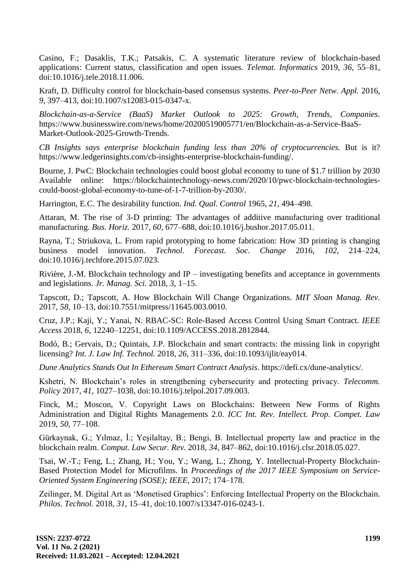Casino, F.; Dasaklis, T.K.; Patsakis, C. A systematic literature review of blockchain-based applications: Current status, classification and open issues. *Telemat. Informatics* 2019, *36*, 55–81, doi:10.1016/j.tele.2018.11.006.

Kraft, D. Difficulty control for blockchain-based consensus systems. *Peer-to-Peer Netw. Appl.* 2016, *9*, 397–413, doi:10.1007/s12083-015-0347-x.

*Blockchain-as-a-Service (BaaS) Market Outlook to 2025: Growth, Trends, Companies.* https://www.businesswire.com/news/home/20200519005771/en/Blockchain-as-a-Service-BaaS-Market-Outlook-2025-Growth-Trends.

*CB Insights says enterprise blockchain funding less than 20% of cryptocurrencies.* But is it? https://www.ledgerinsights.com/cb-insights-enterprise-blockchain-funding/.

Bourne, J. PwC: Blockchain technologies could boost global economy to tune of \$1.7 trillion by 2030 Available online: https://blockchaintechnology-news.com/2020/10/pwc-blockchain-technologiescould-boost-global-economy-to-tune-of-1-7-trillion-by-2030/.

Harrington, E.C. The desirability function. *Ind. Qual. Control* 1965, *21*, 494–498.

Attaran, M. The rise of 3-D printing: The advantages of additive manufacturing over traditional manufacturing. *Bus. Horiz.* 2017, *60*, 677–688, doi:10.1016/j.bushor.2017.05.011.

Rayna, T.; Striukova, L. From rapid prototyping to home fabrication: How 3D printing is changing business model innovation. *Technol. Forecast. Soc. Change* 2016, *102*, 214–224, doi:10.1016/j.techfore.2015.07.023.

Rivière, J.-M. Blockchain technology and IP – investigating benefits and acceptance in governments and legislations. *Jr. Manag. Sci.* 2018, *3*, 1–15.

Tapscott, D.; Tapscott, A. How Blockchain Will Change Organizations. *MIT Sloan Manag. Rev.* 2017, *58*, 10–13, doi:10.7551/mitpress/11645.003.0010.

Cruz, J.P.; Kaji, Y.; Yanai, N. RBAC-SC: Role-Based Access Control Using Smart Contract. *IEEE Access* 2018, *6*, 12240–12251, doi:10.1109/ACCESS.2018.2812844.

Bodó, B.; Gervais, D.; Quintais, J.P. Blockchain and smart contracts: the missing link in copyright licensing? *Int. J. Law Inf. Technol.* 2018, *26*, 311–336, doi:10.1093/ijlit/eay014.

*Dune Analytics Stands Out In Ethereum Smart Contract Analysis.* https://defi.cx/dune-analytics/.

Kshetri, N. Blockchain"s roles in strengthening cybersecurity and protecting privacy. *Telecomm. Policy* 2017, *41*, 1027–1038, doi:10.1016/j.telpol.2017.09.003.

Finck, M.; Moscon, V. Copyright Laws on Blockchains: Between New Forms of Rights Administration and Digital Rights Managements 2.0. *ICC Int. Rev. Intellect. Prop. Compet. Law* 2019, *50*, 77–108.

Gürkaynak, G.; Yılmaz, İ.; Yeşilaltay, B.; Bengi, B. Intellectual property law and practice in the blockchain realm. *Comput. Law Secur. Rev.* 2018, *34*, 847–862, doi:10.1016/j.clsr.2018.05.027.

Tsai, W.-T.; Feng, L.; Zhang, H.; You, Y.; Wang, L.; Zhong, Y. Intellectual-Property Blockchain-Based Protection Model for Microfilms. In *Proceedings of the 2017 IEEE Symposium on Service-Oriented System Engineering (SOSE); IEEE,* 2017; 174–178.

Zeilinger, M. Digital Art as "Monetised Graphics": Enforcing Intellectual Property on the Blockchain. *Philos. Technol.* 2018, *31*, 15–41, doi:10.1007/s13347-016-0243-1.